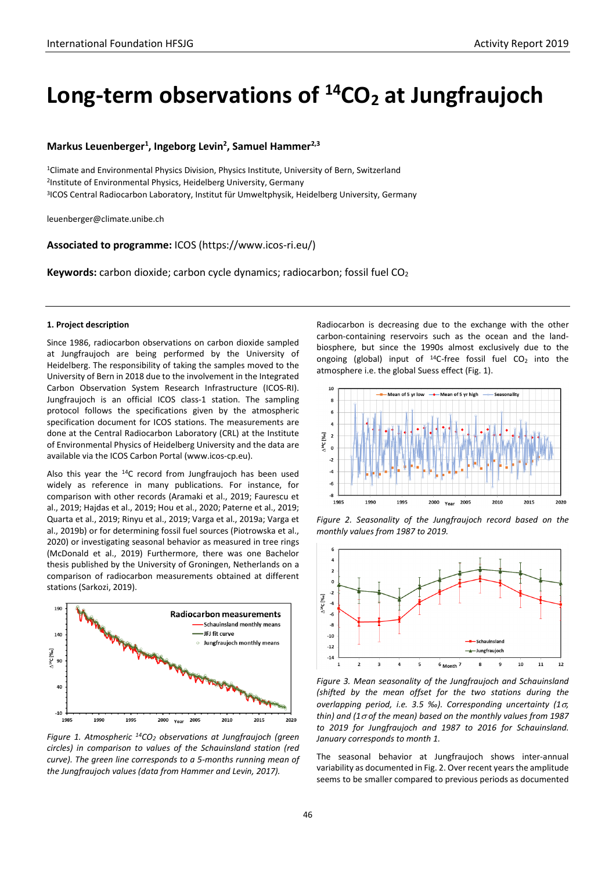# Long-term observations of <sup>14</sup>CO<sub>2</sub> at Jungfraujoch

# **Markus Leuenberger1 , Ingeborg Levin2 , Samuel Hammer2,3**

1Climate and Environmental Physics Division, Physics Institute, University of Bern, Switzerland 2Institute of Environmental Physics, Heidelberg University, Germany 3ICOS Central Radiocarbon Laboratory, Institut für Umweltphysik, Heidelberg University, Germany

leuenberger@climate.unibe.ch

**Associated to programme:** ICOS (https://www.icos-ri.eu/)

**Keywords:** carbon dioxide; carbon cycle dynamics; radiocarbon; fossil fuel CO<sub>2</sub>

# **1. Project description**

Since 1986, radiocarbon observations on carbon dioxide sampled at Jungfraujoch are being performed by the University of Heidelberg. The responsibility of taking the samples moved to the University of Bern in 2018 due to the involvement in the Integrated Carbon Observation System Research Infrastructure (ICOS-RI). Jungfraujoch is an official ICOS class-1 station. The sampling protocol follows the specifications given by the atmospheric specification document for ICOS stations. The measurements are done at the Central Radiocarbon Laboratory (CRL) at the Institute of Environmental Physics of Heidelberg University and the data are available via the ICOS Carbon Portal (www.icos-cp.eu).

Also this year the 14C record from Jungfraujoch has been used widely as reference in many publications. For instance, for comparison with other records (Aramaki et al., 2019; Faurescu et al., 2019; Hajdas et al., 2019; Hou et al., 2020; Paterne et al., 2019; Quarta et al., 2019; Rinyu et al., 2019; Varga et al., 2019a; Varga et al., 2019b) or for determining fossil fuel sources (Piotrowska et al., 2020) or investigating seasonal behavior as measured in tree rings (McDonald et al., 2019) Furthermore, there was one Bachelor thesis published by the University of Groningen, Netherlands on a comparison of radiocarbon measurements obtained at different stations (Sarkozi, 2019).



*Figure 1. Atmospheric 14CO2 observations at Jungfraujoch (green circles) in comparison to values of the Schauinsland station (red curve). The green line corresponds to a 5-months running mean of the Jungfraujoch values (data from Hammer and Levin, 2017).* 

Radiocarbon is decreasing due to the exchange with the other carbon-containing reservoirs such as the ocean and the landbiosphere, but since the 1990s almost exclusively due to the ongoing (global) input of  $^{14}$ C-free fossil fuel CO<sub>2</sub> into the atmosphere i.e. the global Suess effect (Fig. 1).



*Figure 2. Seasonality of the Jungfraujoch record based on the monthly values from 1987 to 2019.*



*Figure 3. Mean seasonality of the Jungfraujoch and Schauinsland (shifted by the mean offset for the two stations during the overlapping period, i.e. 3.5 ‰). Corresponding uncertainty (1*σ*, thin) and (1*<sup>σ</sup> *of the mean) based on the monthly values from 1987 to 2019 for Jungfraujoch and 1987 to 2016 for Schauinsland. January corresponds to month 1.*

The seasonal behavior at Jungfraujoch shows inter-annual variability as documented in Fig. 2. Over recent years the amplitude seems to be smaller compared to previous periods as documented